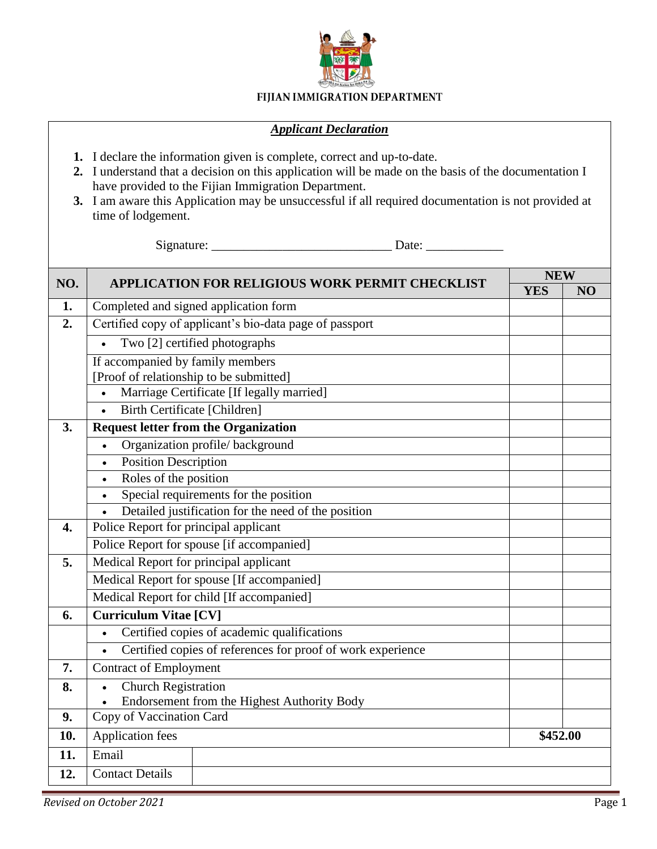

## FIJIAN IMMIGRATION DEPARTMENT

## *Applicant Declaration*

- **1.** I declare the information given is complete, correct and up-to-date.
- **2.** I understand that a decision on this application will be made on the basis of the documentation I have provided to the Fijian Immigration Department.
- **3.** I am aware this Application may be unsuccessful if all required documentation is not provided at time of lodgement.

Signature: \_\_\_\_\_\_\_\_\_\_\_\_\_\_\_\_\_\_\_\_\_\_\_\_\_\_\_\_ Date: \_\_\_\_\_\_\_\_\_\_\_\_

| NO. | <b>APPLICATION FOR RELIGIOUS WORK PERMIT CHECKLIST</b>      | <b>NEW</b> |    |
|-----|-------------------------------------------------------------|------------|----|
|     |                                                             | <b>YES</b> | NO |
| 1.  | Completed and signed application form                       |            |    |
| 2.  | Certified copy of applicant's bio-data page of passport     |            |    |
|     | Two [2] certified photographs                               |            |    |
|     | If accompanied by family members                            |            |    |
|     | [Proof of relationship to be submitted]                     |            |    |
|     | Marriage Certificate [If legally married]<br>$\bullet$      |            |    |
|     | <b>Birth Certificate [Children]</b>                         |            |    |
| 3.  | <b>Request letter from the Organization</b>                 |            |    |
|     | Organization profile/background<br>$\bullet$                |            |    |
|     | Position Description<br>$\bullet$                           |            |    |
|     | Roles of the position<br>$\bullet$                          |            |    |
|     | Special requirements for the position<br>$\bullet$          |            |    |
|     | Detailed justification for the need of the position         |            |    |
| 4.  | Police Report for principal applicant                       |            |    |
|     | Police Report for spouse [if accompanied]                   |            |    |
| 5.  | Medical Report for principal applicant                      |            |    |
|     | Medical Report for spouse [If accompanied]                  |            |    |
|     | Medical Report for child [If accompanied]                   |            |    |
| 6.  | <b>Curriculum Vitae [CV]</b>                                |            |    |
|     | Certified copies of academic qualifications<br>$\bullet$    |            |    |
|     | Certified copies of references for proof of work experience |            |    |
| 7.  | <b>Contract of Employment</b>                               |            |    |
| 8.  | <b>Church Registration</b><br>$\bullet$                     |            |    |
|     | Endorsement from the Highest Authority Body                 |            |    |
| 9.  | Copy of Vaccination Card                                    |            |    |
| 10. | <b>Application fees</b>                                     | \$452.00   |    |
| 11. | Email                                                       |            |    |
| 12. | <b>Contact Details</b>                                      |            |    |